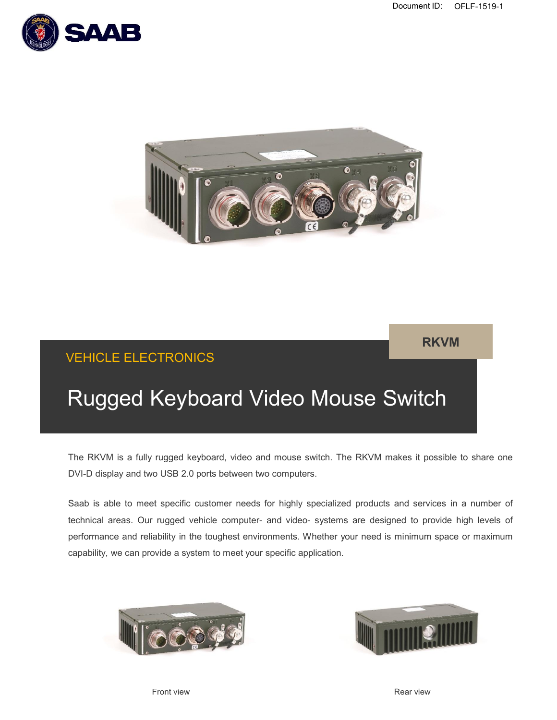**RKVM**





## VEHICLE ELECTRONICS

# Rugged Keyboard Video Mouse Switch

The RKVM is a fully rugged keyboard, video and mouse switch. The RKVM makes it possible to share one DVI-D display and two USB 2.0 ports between two computers.

Saab is able to meet specific customer needs for highly specialized products and services in a number of technical areas. Our rugged vehicle computer- and video- systems are designed to provide high levels of performance and reliability in the toughest environments. Whether your need is minimum space or maximum capability, we can provide a system to meet your specific application.